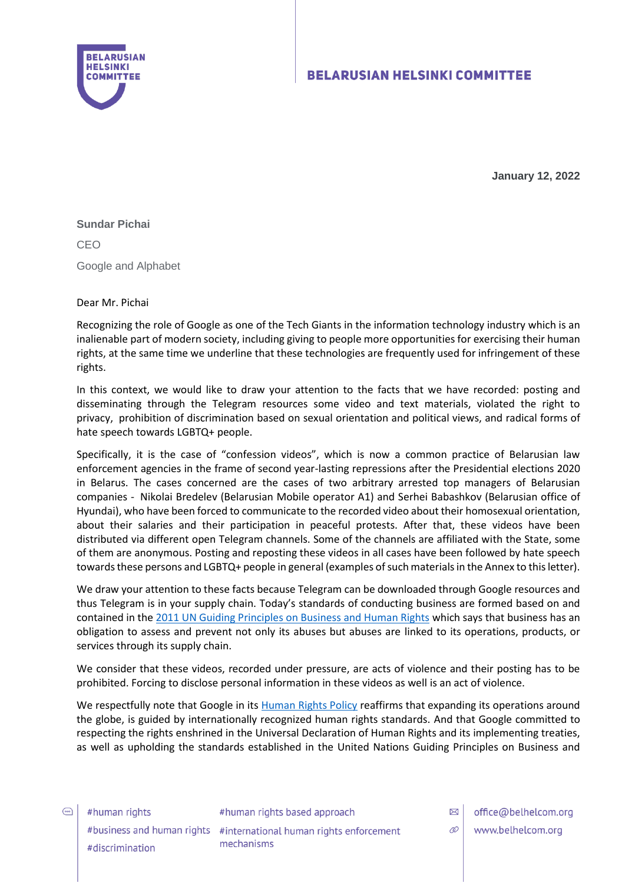

**January 12, 2022**

### **Sundar Pichai**

CEO Google and Alphabet

### Dear Mr. Pichai

Recognizing the role of Google as one of the Tech Giants in the information technology industry which is аn inalienable part of modern society, including giving to people more opportunities for exercising their human rights, at the same time we underline that these technologies are frequently used for infringement of these rights.

In this context, we would like to draw your attention to the facts that we have recorded: posting and disseminating through the Telegram resources some video and text materials, violated the right to privacy, prohibition of discrimination based on sexual orientation and political views, and radical forms of hate speech towards LGBTQ+ people.

Specifically, it is the case of "confession videos", which is now a common practice of Belarusian law enforcement agencies in the frame of second year-lasting repressions after the Presidential elections 2020 in Belarus. The cases concerned are the cases of two arbitrary arrested top managers of Belarusian companies - Nikolai Bredelev (Belarusian Mobile operator A1) and Serhei Babashkov (Belarusian office of Hyundai), who have been forced to communicate to the recorded video about their homosexual orientation, about their salaries and their participation in peaceful protests. After that, these videos have been distributed via different open Telegram channels. Some of the channels are affiliated with the State, some of them are anonymous. Posting and reposting these videos in all cases have been followed by hate speech towards these persons and LGBTQ+ people in general (examples of such materials in the Annex to this letter).

We draw your attention to these facts because Telegram can be downloaded through Google resources and thus Telegram is in your supply chain. Today's standards of conducting business are formed based on and contained in th[e 2011 UN Guiding Principles on Business and Human Rights](https://www.ohchr.org/Documents/Issues/Business/Intro_Guiding_PrinciplesBusinessHR.pdf) which says that business has an obligation to assess and prevent not only its abuses but abuses are linked to its operations, products, or services through its supply chain.

We consider that these videos, recorded under pressure, are acts of violence and their posting has to be prohibited. Forcing to disclose personal information in these videos as well is an act of violence.

We respectfully note that Google in its [Human Rights Policy](https://about.google/human-rights/) reaffirms that expanding its operations around the globe, is guided by internationally recognized human rights standards. And that Google committed to respecting the rights enshrined in the Universal Declaration of Human Rights and its implementing treaties, as well as upholding the standards established in the United Nations Guiding Principles on Business and

#human rights #discrimination

#human rights based approach #business and human rights #international human rights enforcement mechanisms

 $\boxtimes$ office@belhelcom.org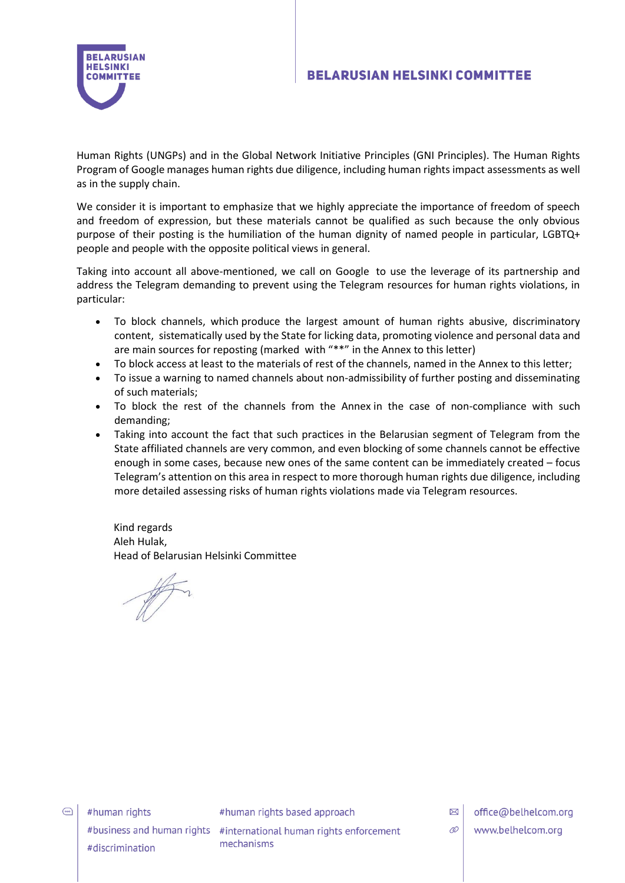

Human Rights (UNGPs) and in the Global Network Initiative Principles (GNI Principles). The Human Rights Program of Google manages human rights due diligence, including human rights impact assessments as well as in the supply chain.

We consider it is important to emphasize that we highly appreciate the importance of freedom of speech and freedom of expression, but these materials cannot be qualified as such because the only obvious purpose of their posting is the humiliation of the human dignity of named people in particular, LGBTQ+ people and people with the opposite political views in general.

Taking into account all above-mentioned, we call on Google to use the leverage of its partnership and address the Telegram demanding to prevent using the Telegram resources for human rights violations, in particular:

- To block channels, which produce the largest amount of human rights abusive, discriminatory content, sistematically used by the State for licking data, promoting violence and personal data and are main sources for reposting (marked with "\*\*" in the Annex to this letter)
- To block access at least to the materials of rest of the channels, named in the Annex to this letter;
- To issue a warning to named channels about non-admissibility of further posting and disseminating of such materials;
- To block the rest of the channels from the Annex in the case of non-compliance with such demanding;
- Taking into account the fact that such practices in the Belarusian segment of Telegram from the State affiliated channels are very common, and even blocking of some channels cannot be effective enough in some cases, because new ones of the same content can be immediately created – focus Telegram's attention on this area in respect to more thorough human rights due diligence, including more detailed assessing risks of human rights violations made via Telegram resources.

Kind regards Aleh Hulak, Head of Belarusian Helsinki Committee

 $\bigodot$ 

#human rights #discrimination #human rights based approach

#business and human rights #international human rights enforcement mechanisms

office@belhelcom.org www.belhelcom.org

 $\boxtimes$  $\mathcal{O}$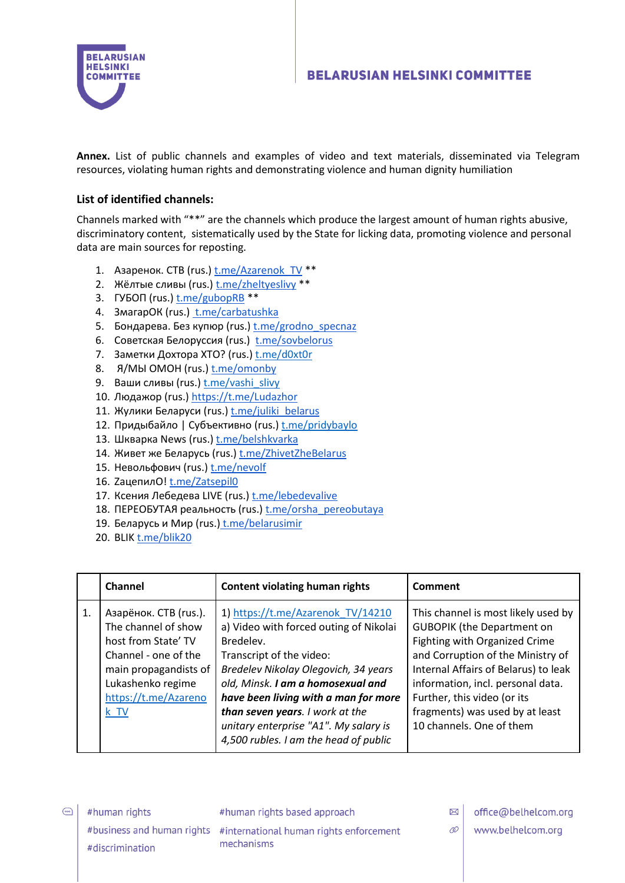

**Annex.** List of public channels and examples of video and text materials, disseminated via Telegram resources, violating human rights and demonstrating violence and human dignity humiliation

### **List of identified channels:**

Channels marked with "\*\*" are the channels which produce the largest amount of human rights abusive, discriminatory content, sistematically used by the State for licking data, promoting violence and personal data are main sources for reposting.

- 1. Азаренок. СТВ (rus.) t.me/Azarenok TV \*\*
- 2. Жёлтые сливы (rus.) [t.me/zheltyeslivy](https://t.me/zheltyeslivy) \*\*
- 3. ГУБОП (rus.) [t.me/gubopRB](https://t.me/gubopRB) \*\*
- 4. ЗмагарОК (rus.) [t.me/carbatushka](https://t.me/carbatushka)
- 5. Бондарева. Без купюр (rus.) t.me/grodno specnaz
- 6. Советская Белоруссия (rus.) [t.me/sovbelorus](https://t.me/sovbelorussia/7055)
- 7. Заметки Дохтора ХТО? (rus.) [t.me/d0xt0r](https://t.me/d0xt0r/568)
- 8. Я/МЫ ОМОН (rus.) [t.me/omonby](https://t.me/omonby)
- 9. Ваши сливы (rus.) [t.me/vashi\\_slivy](https://t.me/vashi_slivy/15279)
- 10. Людажор (rus.[\) https://t.me/Ludazhor](https://t.me/Ludazhor)
- 11. Жулики Беларуси (rus.) t.me/juliki belarus
- 12. Придыбайло | Субъективно (rus.) [t.me/pridybaylo](https://t.me/pridybaylo/3238)
- 13. Шкварка News (rus.) [t.me/belshkvarka](https://t.me/belshkvarka)
- 14. Живет же Беларусь (rus.) [t.me/ZhivetZheBelarus](http://t.me/ZhivetZheBelarus)
- 15. Невольфович (rus.) [t.me/nevolf](https://t.me/nevolf)
- 16. ZацепилО! [t.me/Zatsepil0](http://t.me/Zatsepil0)
- 17. Ксения Лебедева LIVE (rus.) [t.me/lebedevalive](http://t.me/lebedevalive)
- 18. ПЕРЕОБУТАЯ реальность (rus.) [t.me/orsha\\_pereobutaya](http://t.me/orsha_pereobutaya)
- 19. Беларусь и Мир (rus.) [t.me/belarusimir](http://t.me/belarusimir)
- 20. BLI[K t.me/blik20](http://t.me/blik20)

|    | Channel                                                                                                                                                                     | <b>Content violating human rights</b>                                                                                                                                                                                                                                                                                                                          | Comment                                                                                                                                                                                                                                                                                                                   |
|----|-----------------------------------------------------------------------------------------------------------------------------------------------------------------------------|----------------------------------------------------------------------------------------------------------------------------------------------------------------------------------------------------------------------------------------------------------------------------------------------------------------------------------------------------------------|---------------------------------------------------------------------------------------------------------------------------------------------------------------------------------------------------------------------------------------------------------------------------------------------------------------------------|
| 1. | Азарёнок. СТВ (rus.).<br>The channel of show<br>host from State' TV<br>Channel - one of the<br>main propagandists of<br>Lukashenko regime<br>https://t.me/Azareno<br>$k$ TV | 1) https://t.me/Azarenok TV/14210<br>a) Video with forced outing of Nikolai<br>Bredelev.<br>Transcript of the video:<br>Bredelev Nikolay Olegovich, 34 years<br>old, Minsk. I am a homosexual and<br>have been living with a man for more<br>than seven years. I work at the<br>unitary enterprise "A1". My salary is<br>4,500 rubles. I am the head of public | This channel is most likely used by<br><b>GUBOPIK (the Department on</b><br>Fighting with Organized Crime<br>and Corruption of the Ministry of<br>Internal Affairs of Belarus) to leak<br>information, incl. personal data.<br>Further, this video (or its<br>fragments) was used by at least<br>10 channels. One of them |

 $\bigodot$ 

#human rights #discrimination #human rights based approach

#business and human rights #international human rights enforcement mechanisms

 $\boxtimes$ office@belhelcom.org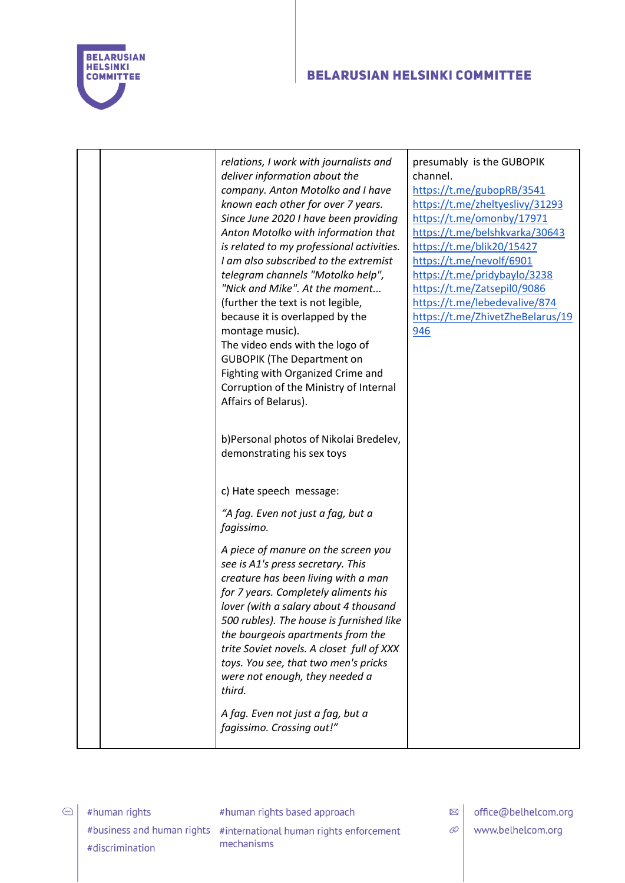

|  | relations, I work with journalists and           | presumably is the GUBOPIK        |
|--|--------------------------------------------------|----------------------------------|
|  | deliver information about the                    | channel.                         |
|  | company. Anton Motolko and I have                | https://t.me/gubopRB/3541        |
|  | known each other for over 7 years.               | https://t.me/zheltyeslivy/31293  |
|  | Since June 2020 I have been providing            | https://t.me/omonby/17971        |
|  | Anton Motolko with information that              | https://t.me/belshkvarka/30643   |
|  | is related to my professional activities.        | https://t.me/blik20/15427        |
|  | I am also subscribed to the extremist            | https://t.me/nevolf/6901         |
|  | telegram channels "Motolko help",                | https://t.me/pridybaylo/3238     |
|  | "Nick and Mike". At the moment                   | https://t.me/Zatsepil0/9086      |
|  | (further the text is not legible,                | https://t.me/lebedevalive/874    |
|  | because it is overlapped by the                  | https://t.me/ZhivetZheBelarus/19 |
|  | montage music).                                  | 946                              |
|  | The video ends with the logo of                  |                                  |
|  | <b>GUBOPIK (The Department on</b>                |                                  |
|  | Fighting with Organized Crime and                |                                  |
|  | Corruption of the Ministry of Internal           |                                  |
|  | Affairs of Belarus).                             |                                  |
|  |                                                  |                                  |
|  | b)Personal photos of Nikolai Bredelev,           |                                  |
|  | demonstrating his sex toys                       |                                  |
|  |                                                  |                                  |
|  |                                                  |                                  |
|  | c) Hate speech message:                          |                                  |
|  | "A fag. Even not just a fag, but a<br>fagissimo. |                                  |
|  | A piece of manure on the screen you              |                                  |
|  | see is A1's press secretary. This                |                                  |
|  | creature has been living with a man              |                                  |
|  | for 7 years. Completely aliments his             |                                  |
|  | lover (with a salary about 4 thousand            |                                  |
|  | 500 rubles). The house is furnished like         |                                  |
|  | the bourgeois apartments from the                |                                  |
|  | trite Soviet novels. A closet full of XXX        |                                  |
|  | toys. You see, that two men's pricks             |                                  |
|  | were not enough, they needed a                   |                                  |
|  | third.                                           |                                  |
|  | A fag. Even not just a fag, but a                |                                  |
|  | fagissimo. Crossing out!"                        |                                  |
|  |                                                  |                                  |

 $\bigodot$ 

#human rights based approach

#business and human rights #international human rights enforcement mechanisms

 $\boxtimes$  office@belhelcom.org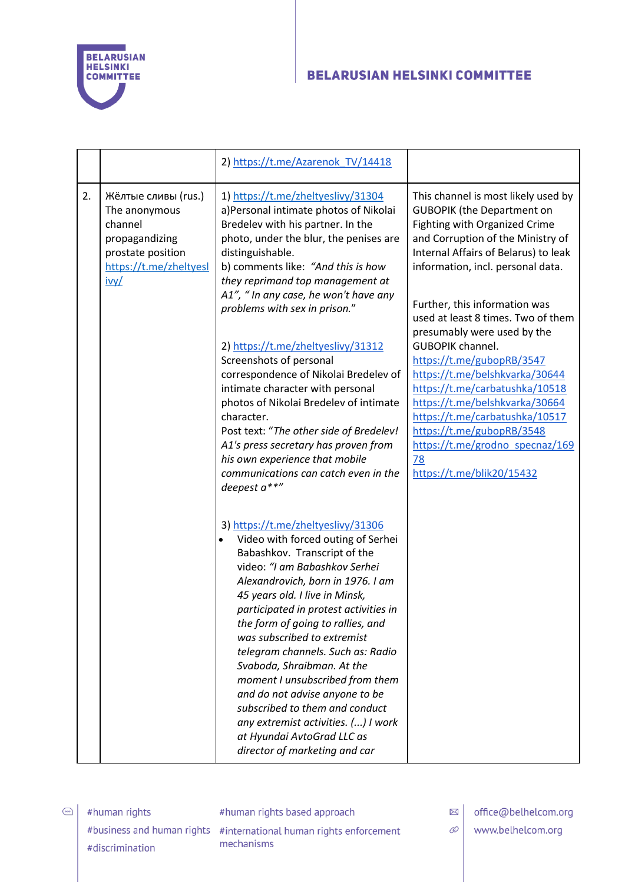

|    |                                                                                                                          | 2) https://t.me/Azarenok TV/14418                                                                                                                                                                                                                                                                                                                                                                                                                                                                                                                                                                             |                                                                                                                                                                                                                                                                                                                                   |
|----|--------------------------------------------------------------------------------------------------------------------------|---------------------------------------------------------------------------------------------------------------------------------------------------------------------------------------------------------------------------------------------------------------------------------------------------------------------------------------------------------------------------------------------------------------------------------------------------------------------------------------------------------------------------------------------------------------------------------------------------------------|-----------------------------------------------------------------------------------------------------------------------------------------------------------------------------------------------------------------------------------------------------------------------------------------------------------------------------------|
| 2. | Жёлтые сливы (rus.)<br>The anonymous<br>channel<br>propagandizing<br>prostate position<br>https://t.me/zheltyesl<br>ivy/ | 1) https://t.me/zheltyeslivy/31304<br>a)Personal intimate photos of Nikolai<br>Bredelev with his partner. In the<br>photo, under the blur, the penises are<br>distinguishable.<br>b) comments like: "And this is how<br>they reprimand top management at<br>A1", " In any case, he won't have any<br>problems with sex in prison."                                                                                                                                                                                                                                                                            | This channel is most likely used by<br><b>GUBOPIK (the Department on</b><br>Fighting with Organized Crime<br>and Corruption of the Ministry of<br>Internal Affairs of Belarus) to leak<br>information, incl. personal data.<br>Further, this information was<br>used at least 8 times. Two of them<br>presumably were used by the |
|    |                                                                                                                          | 2) https://t.me/zheltyeslivy/31312<br>Screenshots of personal<br>correspondence of Nikolai Bredelev of<br>intimate character with personal<br>photos of Nikolai Bredelev of intimate<br>character.<br>Post text: "The other side of Bredelev!<br>A1's press secretary has proven from<br>his own experience that mobile<br>communications can catch even in the<br>deepest a**"                                                                                                                                                                                                                               | <b>GUBOPIK channel.</b><br>https://t.me/gubopRB/3547<br>https://t.me/belshkvarka/30644<br>https://t.me/carbatushka/10518<br>https://t.me/belshkvarka/30664<br>https://t.me/carbatushka/10517<br>https://t.me/gubopRB/3548<br>https://t.me/grodno_specnaz/169<br><u>78</u><br>https://t.me/blik20/15432                            |
|    |                                                                                                                          | 3) https://t.me/zheltyeslivy/31306<br>Video with forced outing of Serhei<br>Babashkov. Transcript of the<br>video: "I am Babashkov Serhei<br>Alexandrovich, born in 1976. I am<br>45 years old. I live in Minsk,<br>participated in protest activities in<br>the form of going to rallies, and<br>was subscribed to extremist<br>telegram channels. Such as: Radio<br>Svaboda, Shraibman. At the<br>moment I unsubscribed from them<br>and do not advise anyone to be<br>subscribed to them and conduct<br>any extremist activities. () I work<br>at Hyundai AvtoGrad LLC as<br>director of marketing and car |                                                                                                                                                                                                                                                                                                                                   |

Ahuman rights #discrimination #human rights based approach

#business and human rights #international human rights enforcement mechanisms

 $\boxtimes$  office@belhelcom.org

 $\mathcal{O}$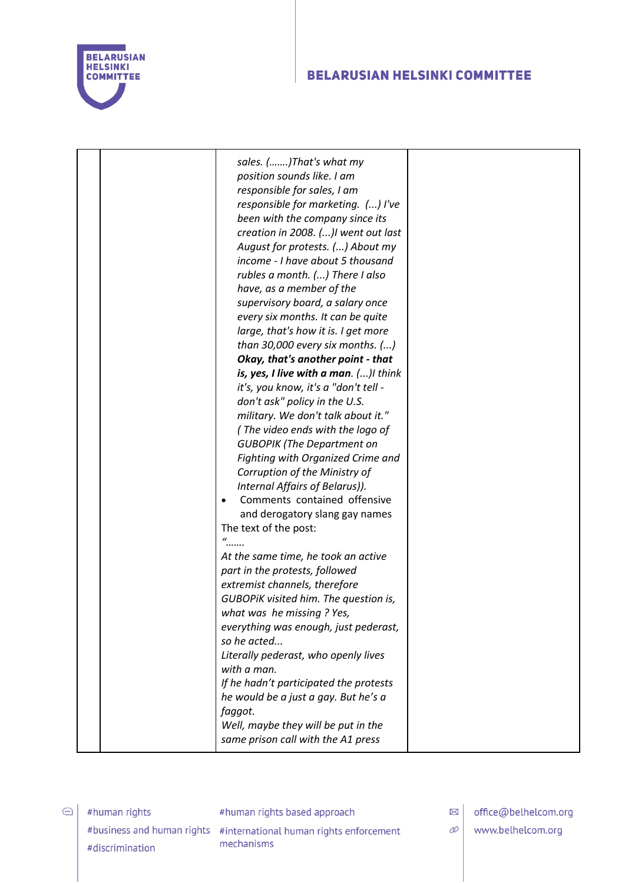

| sales. ()That's what my<br>position sounds like. I am<br>responsible for sales, I am<br>responsible for marketing. () I've<br>been with the company since its<br>creation in 2008. ()I went out last<br>August for protests. () About my<br>income - I have about 5 thousand<br>rubles a month. () There I also<br>have, as a member of the<br>supervisory board, a salary once<br>every six months. It can be quite<br>large, that's how it is. I get more<br>than 30,000 every six months. $()$<br>Okay, that's another point - that<br>is, yes, I live with a man. ()I think<br>it's, you know, it's a "don't tell -<br>don't ask" policy in the U.S.<br>military. We don't talk about it."<br>(The video ends with the logo of<br><b>GUBOPIK (The Department on</b><br>Fighting with Organized Crime and<br>Corruption of the Ministry of<br>Internal Affairs of Belarus)).<br>Comments contained offensive<br>$\bullet$<br>and derogatory slang gay names<br>The text of the post:<br>$\mathcal{U}$<br>At the same time, he took an active<br>part in the protests, followed<br>extremist channels, therefore<br>GUBOPIK visited him. The question is,<br>what was he missing ? Yes,<br>everything was enough, just pederast,<br>so he acted<br>Literally pederast, who openly lives<br>with a man.<br>If he hadn't participated the protests<br>he would be a just a gay. But he's a<br>faggot. |  |
|-------------------------------------------------------------------------------------------------------------------------------------------------------------------------------------------------------------------------------------------------------------------------------------------------------------------------------------------------------------------------------------------------------------------------------------------------------------------------------------------------------------------------------------------------------------------------------------------------------------------------------------------------------------------------------------------------------------------------------------------------------------------------------------------------------------------------------------------------------------------------------------------------------------------------------------------------------------------------------------------------------------------------------------------------------------------------------------------------------------------------------------------------------------------------------------------------------------------------------------------------------------------------------------------------------------------------------------------------------------------------------------------------------|--|
| Well, maybe they will be put in the<br>same prison call with the A1 press                                                                                                                                                                                                                                                                                                                                                                                                                                                                                                                                                                                                                                                                                                                                                                                                                                                                                                                                                                                                                                                                                                                                                                                                                                                                                                                             |  |

#human rights #discrimination

 $\bigodot$ 

#human rights based approach

#business and human rights #international human rights enforcement mechanisms

 $\boxtimes$  office@belhelcom.org

 $\mathcal{O}$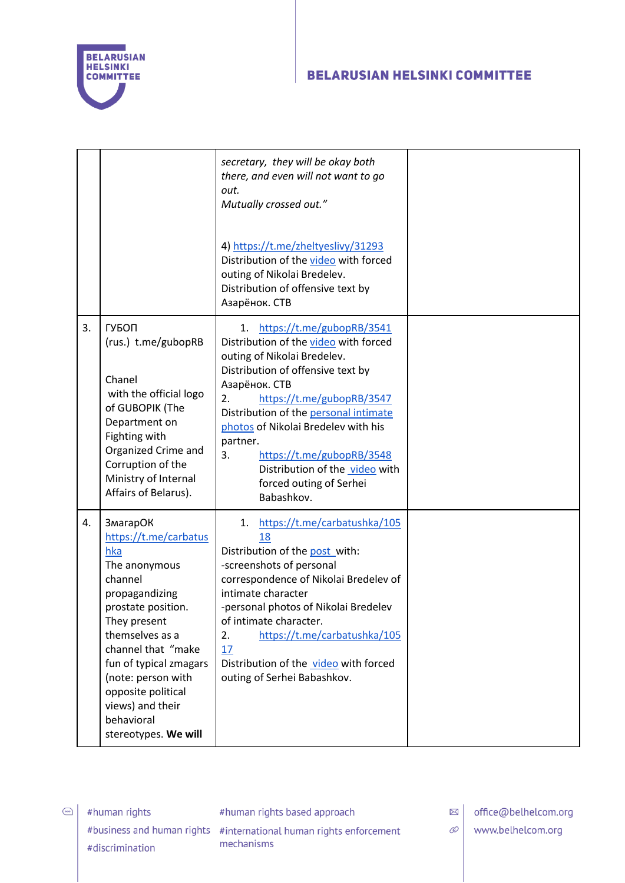

|    |                                                                                                                                                                                                                                                                                                              | secretary, they will be okay both<br>there, and even will not want to go<br>out.<br>Mutually crossed out."<br>4) https://t.me/zheltyeslivy/31293<br>Distribution of the video with forced<br>outing of Nikolai Bredelev.<br>Distribution of offensive text by<br>Азарёнок. СТВ                                                                                                                          |  |
|----|--------------------------------------------------------------------------------------------------------------------------------------------------------------------------------------------------------------------------------------------------------------------------------------------------------------|---------------------------------------------------------------------------------------------------------------------------------------------------------------------------------------------------------------------------------------------------------------------------------------------------------------------------------------------------------------------------------------------------------|--|
| 3. | ГУБОП<br>(rus.) t.me/gubopRB<br>Chanel<br>with the official logo<br>of GUBOPIK (The<br>Department on<br>Fighting with<br>Organized Crime and<br>Corruption of the<br>Ministry of Internal<br>Affairs of Belarus).                                                                                            | 1. https://t.me/gubopRB/3541<br>Distribution of the video with forced<br>outing of Nikolai Bredelev.<br>Distribution of offensive text by<br>Азарёнок. СТВ<br>https://t.me/gubopRB/3547<br>2.<br>Distribution of the personal intimate<br>photos of Nikolai Bredelev with his<br>partner.<br>3.<br>https://t.me/gubopRB/3548<br>Distribution of the video with<br>forced outing of Serhei<br>Babashkov. |  |
| 4. | <b>ЗмагарОК</b><br>https://t.me/carbatus<br>hka<br>The anonymous<br>channel<br>propagandizing<br>prostate position.<br>They present<br>themselves as a<br>channel that "make<br>fun of typical zmagars<br>(note: person with<br>opposite political<br>views) and their<br>behavioral<br>stereotypes. We will | https://t.me/carbatushka/105<br>1.<br>18<br>Distribution of the post with:<br>-screenshots of personal<br>correspondence of Nikolai Bredelev of<br>intimate character<br>-personal photos of Nikolai Bredelev<br>of intimate character.<br>2.<br>https://t.me/carbatushka/105<br>17<br>Distribution of the video with forced<br>outing of Serhei Babashkov.                                             |  |

 $\bigodot$ 

#human rights based approach

#business and human rights #international human rights enforcement mechanisms

 $\boxtimes$  office@belhelcom.org

 $\mathcal{O}$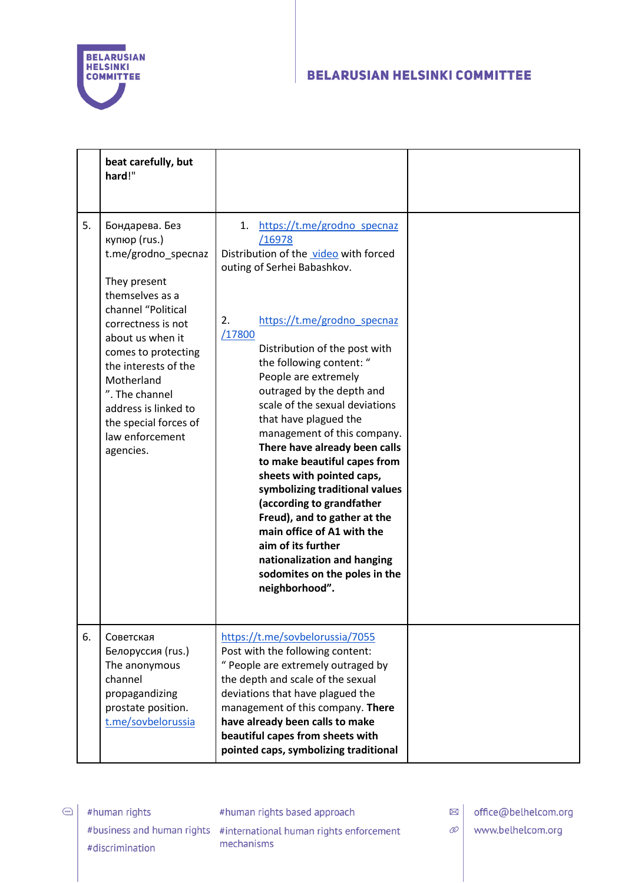

|    | beat carefully, but<br>hard!"                                                                                                                                                                                                                                                                                            |                                                                                                                                                                                                                                                                                                                                                                                                                                                                                                                                                                                                                                                                                                                   |  |
|----|--------------------------------------------------------------------------------------------------------------------------------------------------------------------------------------------------------------------------------------------------------------------------------------------------------------------------|-------------------------------------------------------------------------------------------------------------------------------------------------------------------------------------------------------------------------------------------------------------------------------------------------------------------------------------------------------------------------------------------------------------------------------------------------------------------------------------------------------------------------------------------------------------------------------------------------------------------------------------------------------------------------------------------------------------------|--|
| 5. | Бондарева. Без<br>купюр (rus.)<br>t.me/grodno_specnaz<br>They present<br>themselves as a<br>channel "Political<br>correctness is not<br>about us when it<br>comes to protecting<br>the interests of the<br>Motherland<br>". The channel<br>address is linked to<br>the special forces of<br>law enforcement<br>agencies. | https://t.me/grodno specnaz<br>1.<br>/16978<br>Distribution of the video with forced<br>outing of Serhei Babashkov.<br>https://t.me/grodno specnaz<br>2.<br>/17800<br>Distribution of the post with<br>the following content: "<br>People are extremely<br>outraged by the depth and<br>scale of the sexual deviations<br>that have plagued the<br>management of this company.<br>There have already been calls<br>to make beautiful capes from<br>sheets with pointed caps,<br>symbolizing traditional values<br>(according to grandfather<br>Freud), and to gather at the<br>main office of A1 with the<br>aim of its further<br>nationalization and hanging<br>sodomites on the poles in the<br>neighborhood". |  |
| 6. | Советская<br>Белоруссия (rus.)<br>The anonymous<br>channel<br>propagandizing<br>prostate position.<br>t.me/sovbelorussia                                                                                                                                                                                                 | https://t.me/sovbelorussia/7055<br>Post with the following content:<br>" People are extremely outraged by<br>the depth and scale of the sexual<br>deviations that have plagued the<br>management of this company. There<br>have already been calls to make<br>beautiful capes from sheets with<br>pointed caps, symbolizing traditional                                                                                                                                                                                                                                                                                                                                                                           |  |

 $\bigodot$ 

#human rights based approach

#business and human rights #international human rights enforcement mechanisms

 $\boxtimes$  office@belhelcom.org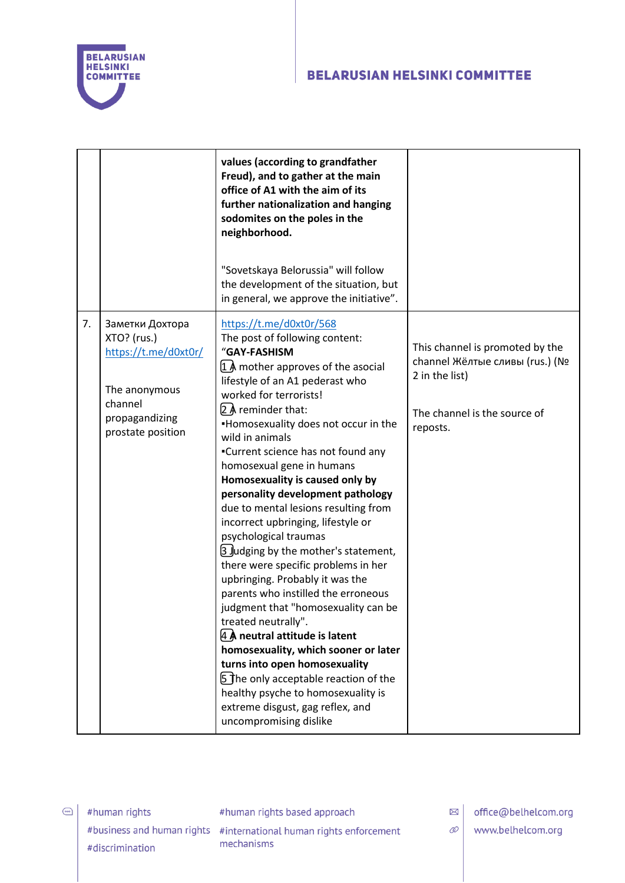

|    |                                                                                                                           | values (according to grandfather<br>Freud), and to gather at the main<br>office of A1 with the aim of its<br>further nationalization and hanging<br>sodomites on the poles in the<br>neighborhood.                                                                                                                                                                                                                                                                                                                                                                                                                                                                                                                                                                                                                                                                                                                                                                                                           |                                                                                                                                  |
|----|---------------------------------------------------------------------------------------------------------------------------|--------------------------------------------------------------------------------------------------------------------------------------------------------------------------------------------------------------------------------------------------------------------------------------------------------------------------------------------------------------------------------------------------------------------------------------------------------------------------------------------------------------------------------------------------------------------------------------------------------------------------------------------------------------------------------------------------------------------------------------------------------------------------------------------------------------------------------------------------------------------------------------------------------------------------------------------------------------------------------------------------------------|----------------------------------------------------------------------------------------------------------------------------------|
|    |                                                                                                                           | "Sovetskaya Belorussia" will follow<br>the development of the situation, but<br>in general, we approve the initiative".                                                                                                                                                                                                                                                                                                                                                                                                                                                                                                                                                                                                                                                                                                                                                                                                                                                                                      |                                                                                                                                  |
| 7. | Заметки Дохтора<br>XTO? (rus.)<br>https://t.me/d0xt0r/<br>The anonymous<br>channel<br>propagandizing<br>prostate position | https://t.me/d0xt0r/568<br>The post of following content:<br>"GAY-FASHISM<br>$1$ Å mother approves of the asocial<br>lifestyle of an A1 pederast who<br>worked for terrorists!<br>$[2]$ <i>A</i> reminder that:<br>-Homosexuality does not occur in the<br>wild in animals<br>•Current science has not found any<br>homosexual gene in humans<br>Homosexuality is caused only by<br>personality development pathology<br>due to mental lesions resulting from<br>incorrect upbringing, lifestyle or<br>psychological traumas<br>[3 Judging by the mother's statement,<br>there were specific problems in her<br>upbringing. Probably it was the<br>parents who instilled the erroneous<br>judgment that "homosexuality can be<br>treated neutrally".<br>4 A neutral attitude is latent<br>homosexuality, which sooner or later<br>turns into open homosexuality<br>5 The only acceptable reaction of the<br>healthy psyche to homosexuality is<br>extreme disgust, gag reflex, and<br>uncompromising dislike | This channel is promoted by the<br>channel Жёлтые сливы (rus.) (Nº<br>2 in the list)<br>The channel is the source of<br>reposts. |

 $rac{1}{\sqrt{2\pi}}$ 

#human rights based approach

#business and human rights #international human rights enforcement mechanisms

office@belhelcom.org  $\boxtimes$ 

- $\mathcal{O}$ 
	- www.belhelcom.org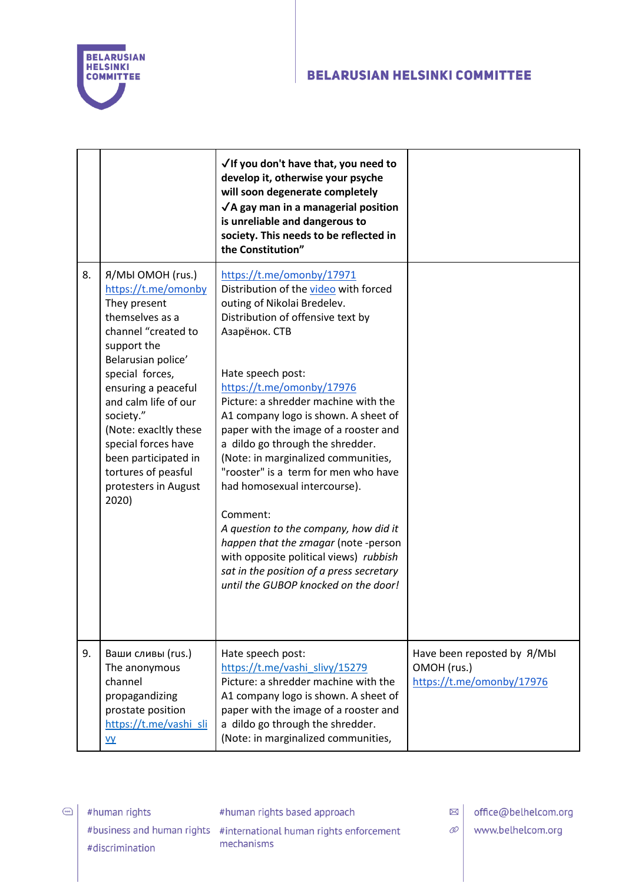

|    |                                                                                                                                                                                                                                                                                                                                                       | √ If you don't have that, you need to<br>develop it, otherwise your psyche<br>will soon degenerate completely<br>$\sqrt{A}$ gay man in a managerial position<br>is unreliable and dangerous to<br>society. This needs to be reflected in<br>the Constitution"                                                                                                                                                                                                                                                                                                                                                                                                                                                    |                                                                         |
|----|-------------------------------------------------------------------------------------------------------------------------------------------------------------------------------------------------------------------------------------------------------------------------------------------------------------------------------------------------------|------------------------------------------------------------------------------------------------------------------------------------------------------------------------------------------------------------------------------------------------------------------------------------------------------------------------------------------------------------------------------------------------------------------------------------------------------------------------------------------------------------------------------------------------------------------------------------------------------------------------------------------------------------------------------------------------------------------|-------------------------------------------------------------------------|
| 8. | Я/MЫ OMOH (rus.)<br>https://t.me/omonby<br>They present<br>themselves as a<br>channel "created to<br>support the<br>Belarusian police'<br>special forces,<br>ensuring a peaceful<br>and calm life of our<br>society."<br>(Note: exacitly these<br>special forces have<br>been participated in<br>tortures of peasful<br>protesters in August<br>2020) | https://t.me/omonby/17971<br>Distribution of the video with forced<br>outing of Nikolai Bredelev.<br>Distribution of offensive text by<br>Азарёнок. СТВ<br>Hate speech post:<br>https://t.me/omonby/17976<br>Picture: a shredder machine with the<br>A1 company logo is shown. A sheet of<br>paper with the image of a rooster and<br>a dildo go through the shredder.<br>(Note: in marginalized communities,<br>"rooster" is a term for men who have<br>had homosexual intercourse).<br>Comment:<br>A question to the company, how did it<br>happen that the zmagar (note -person<br>with opposite political views) rubbish<br>sat in the position of a press secretary<br>until the GUBOP knocked on the door! |                                                                         |
| 9. | Ваши сливы (rus.)<br>The anonymous<br>channel<br>propagandizing<br>prostate position<br>https://t.me/vashi sli<br><u>vy</u>                                                                                                                                                                                                                           | Hate speech post:<br>https://t.me/vashi slivy/15279<br>Picture: a shredder machine with the<br>A1 company logo is shown. A sheet of<br>paper with the image of a rooster and<br>a dildo go through the shredder.<br>(Note: in marginalized communities,                                                                                                                                                                                                                                                                                                                                                                                                                                                          | Have been reposted by A/MbI<br>OMOH (rus.)<br>https://t.me/omonby/17976 |

 $\bigodot$ 

#human rights based approach

#business and human rights #international human rights enforcement mechanisms

 $\boxtimes$  office@belhelcom.org

www.belhelcom.org

 $\mathcal{O}$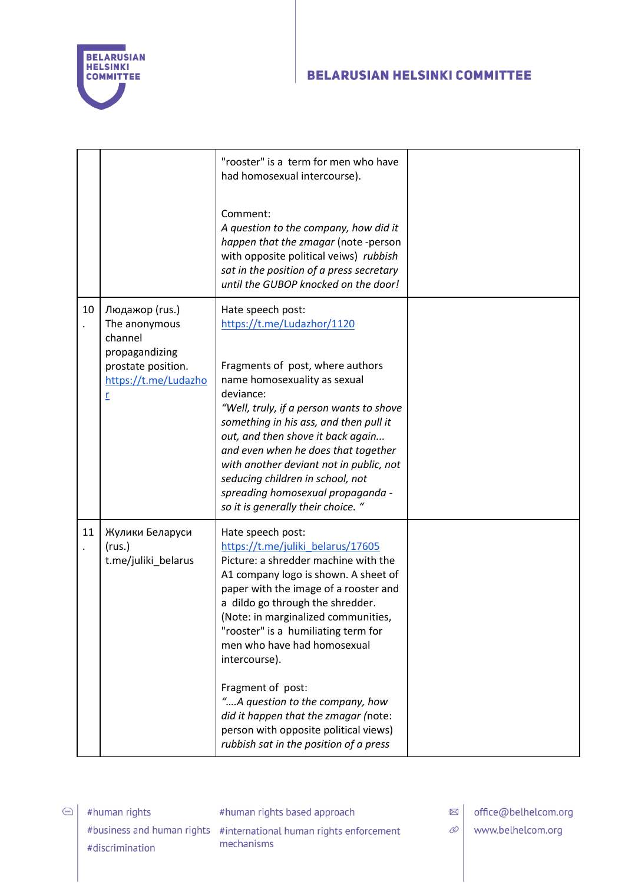

|    |                                                                                                                 | "rooster" is a term for men who have<br>had homosexual intercourse).<br>Comment:<br>A question to the company, how did it<br>happen that the zmagar (note -person<br>with opposite political veiws) rubbish<br>sat in the position of a press secretary<br>until the GUBOP knocked on the door!                                                                                                                                                                                                                                      |  |
|----|-----------------------------------------------------------------------------------------------------------------|--------------------------------------------------------------------------------------------------------------------------------------------------------------------------------------------------------------------------------------------------------------------------------------------------------------------------------------------------------------------------------------------------------------------------------------------------------------------------------------------------------------------------------------|--|
| 10 | Людажор (rus.)<br>The anonymous<br>channel<br>propagandizing<br>prostate position.<br>https://t.me/Ludazho<br>r | Hate speech post:<br>https://t.me/Ludazhor/1120<br>Fragments of post, where authors<br>name homosexuality as sexual<br>deviance:<br>"Well, truly, if a person wants to shove<br>something in his ass, and then pull it<br>out, and then shove it back again<br>and even when he does that together<br>with another deviant not in public, not<br>seducing children in school, not<br>spreading homosexual propaganda -<br>so it is generally their choice. "                                                                         |  |
| 11 | Жулики Беларуси<br>(rus.)<br>t.me/juliki_belarus                                                                | Hate speech post:<br>https://t.me/juliki_belarus/17605<br>Picture: a shredder machine with the<br>A1 company logo is shown. A sheet of<br>paper with the image of a rooster and<br>a dildo go through the shredder.<br>(Note: in marginalized communities,<br>"rooster" is a humiliating term for<br>men who have had homosexual<br>intercourse).<br>Fragment of post:<br>"A question to the company, how<br>did it happen that the zmagar (note:<br>person with opposite political views)<br>rubbish sat in the position of a press |  |

 $\bigodot$ 

#human rights based approach

#business and human rights #international human rights enforcement mechanisms

 $\boxtimes$  office@belhelcom.org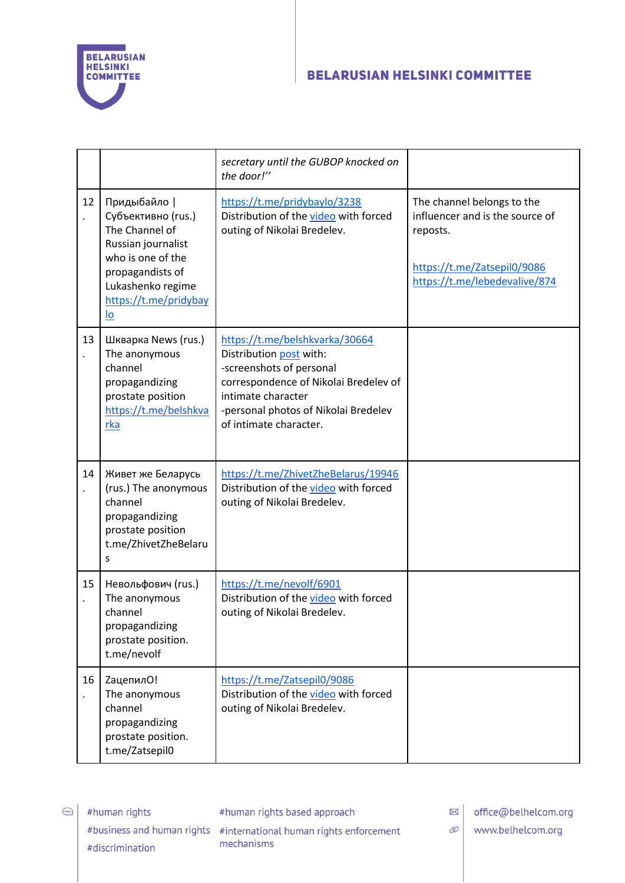

|    |                                                                                                                                                                         | secretary until the GUBOP knocked on<br>the door!"                                                                                                                                                                     |                                                                                                                                           |
|----|-------------------------------------------------------------------------------------------------------------------------------------------------------------------------|------------------------------------------------------------------------------------------------------------------------------------------------------------------------------------------------------------------------|-------------------------------------------------------------------------------------------------------------------------------------------|
| 12 | Придыбайло  <br>Субъективно (rus.)<br>The Channel of<br>Russian journalist<br>who is one of the<br>propagandists of<br>Lukashenko regime<br>https://t.me/pridybay<br>lo | https://t.me/pridybaylo/3238<br>Distribution of the video with forced<br>outing of Nikolai Bredelev.                                                                                                                   | The channel belongs to the<br>influencer and is the source of<br>reposts.<br>https://t.me/Zatsepil0/9086<br>https://t.me/lebedevalive/874 |
| 13 | Шкварка News (rus.)<br>The anonymous<br>channel<br>propagandizing<br>prostate position<br>https://t.me/belshkva<br>rka                                                  | https://t.me/belshkvarka/30664<br>Distribution post with:<br>-screenshots of personal<br>correspondence of Nikolai Bredelev of<br>intimate character<br>-personal photos of Nikolai Bredelev<br>of intimate character. |                                                                                                                                           |
| 14 | Живет же Беларусь<br>(rus.) The anonymous<br>channel<br>propagandizing<br>prostate position<br>t.me/ZhivetZheBelaru<br>S                                                | https://t.me/ZhivetZheBelarus/19946<br>Distribution of the video with forced<br>outing of Nikolai Bredelev.                                                                                                            |                                                                                                                                           |
| 15 | Невольфович (rus.)<br>The anonymous<br>channel<br>propagandizing<br>prostate position.<br>t.me/nevolf                                                                   | https://t.me/nevolf/6901<br>Distribution of the video with forced<br>outing of Nikolai Bredelev.                                                                                                                       |                                                                                                                                           |
| 16 | <b>ZaцепилО!</b><br>The anonymous<br>channel<br>propagandizing<br>prostate position.<br>t.me/Zatsepil0                                                                  | https://t.me/Zatsepil0/9086<br>Distribution of the video with forced<br>outing of Nikolai Bredelev.                                                                                                                    |                                                                                                                                           |

 $\bigodot$ #human rights #discrimination

#human rights based approach

#business and human rights #international human rights enforcement mechanisms

 $\boxtimes$ office@belhelcom.org